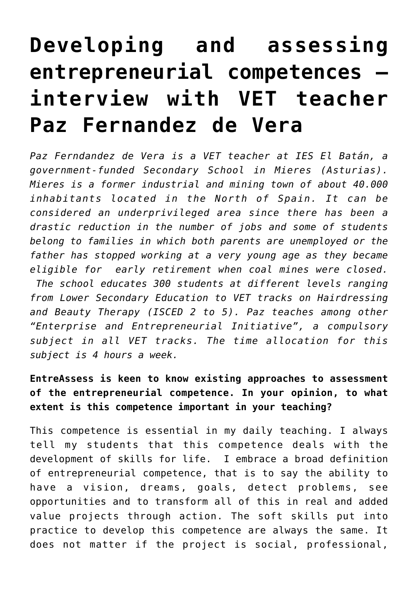# **[Developing and assessing](http://entreassess.com/2018/02/12/developing-and-assessing-entrepreneurial-competences-interview-with-vet-teacher-paz-fernandez-de-vera/) [entrepreneurial competences –](http://entreassess.com/2018/02/12/developing-and-assessing-entrepreneurial-competences-interview-with-vet-teacher-paz-fernandez-de-vera/) [interview with VET teacher](http://entreassess.com/2018/02/12/developing-and-assessing-entrepreneurial-competences-interview-with-vet-teacher-paz-fernandez-de-vera/) [Paz Fernandez de Vera](http://entreassess.com/2018/02/12/developing-and-assessing-entrepreneurial-competences-interview-with-vet-teacher-paz-fernandez-de-vera/)**

*Paz Ferndandez de Vera is a VET teacher at IES El Batán, a government-funded Secondary School in Mieres (Asturias). Mieres is a former industrial and mining town of about 40.000 inhabitants located in the North of Spain. It can be considered an underprivileged area since there has been a drastic reduction in the number of jobs and some of students belong to families in which both parents are unemployed or the father has stopped working at a very young age as they became eligible for early retirement when coal mines were closed. The school educates 300 students at different levels ranging from Lower Secondary Education to VET tracks on Hairdressing and Beauty Therapy (ISCED 2 to 5). Paz teaches among other "Enterprise and Entrepreneurial Initiative", a compulsory subject in all VET tracks. The time allocation for this subject is 4 hours a week.*

**EntreAssess is keen to know existing approaches to assessment of the entrepreneurial competence. In your opinion, to what extent is this competence important in your teaching?**

This competence is essential in my daily teaching. I always tell my students that this competence deals with the development of skills for life. I embrace a broad definition of entrepreneurial competence, that is to say the ability to have a vision, dreams, goals, detect problems, see opportunities and to transform all of this in real and added value projects through action. The soft skills put into practice to develop this competence are always the same. It does not matter if the project is social, professional,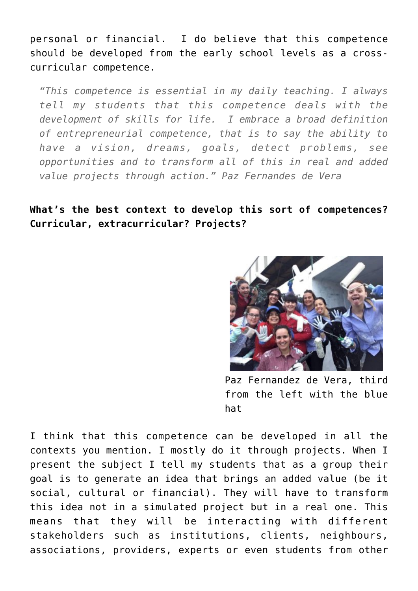personal or financial. I do believe that this competence should be developed from the early school levels as a crosscurricular competence.

*"This competence is essential in my daily teaching. I always tell my students that this competence deals with the development of skills for life. I embrace a broad definition of entrepreneurial competence, that is to say the ability to have a vision, dreams, goals, detect problems, see opportunities and to transform all of this in real and added value projects through action." Paz Fernandes de Vera*

## **What's the best context to develop this sort of competences? Curricular, extracurricular? Projects?**



Paz Fernandez de Vera, third from the left with the blue hat

I think that this competence can be developed in all the contexts you mention. I mostly do it through projects. When I present the subject I tell my students that as a group their goal is to generate an idea that brings an added value (be it social, cultural or financial). They will have to transform this idea not in a simulated project but in a real one. This means that they will be interacting with different stakeholders such as institutions, clients, neighbours, associations, providers, experts or even students from other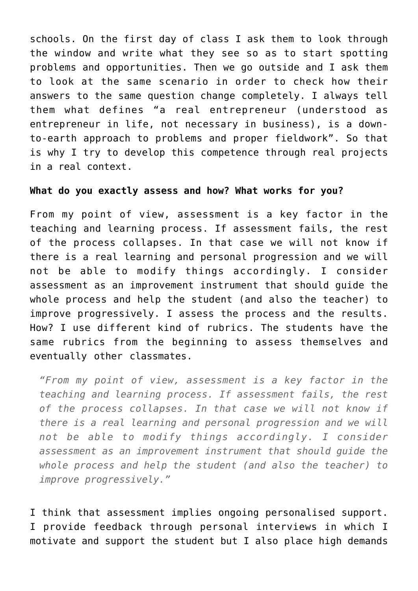schools. On the first day of class I ask them to look through the window and write what they see so as to start spotting problems and opportunities. Then we go outside and I ask them to look at the same scenario in order to check how their answers to the same question change completely. I always tell them what defines "a real entrepreneur (understood as entrepreneur in life, not necessary in business), is a downto-earth approach to problems and proper fieldwork". So that is why I try to develop this competence through real projects in a real context.

## **What do you exactly assess and how? What works for you?**

From my point of view, assessment is a key factor in the teaching and learning process. If assessment fails, the rest of the process collapses. In that case we will not know if there is a real learning and personal progression and we will not be able to modify things accordingly. I consider assessment as an improvement instrument that should guide the whole process and help the student (and also the teacher) to improve progressively. I assess the process and the results. How? I use different kind of rubrics. The students have the same rubrics from the beginning to assess themselves and eventually other classmates.

*"From my point of view, assessment is a key factor in the teaching and learning process. If assessment fails, the rest of the process collapses. In that case we will not know if there is a real learning and personal progression and we will not be able to modify things accordingly. I consider assessment as an improvement instrument that should guide the whole process and help the student (and also the teacher) to improve progressively."*

I think that assessment implies ongoing personalised support. I provide feedback through personal interviews in which I motivate and support the student but I also place high demands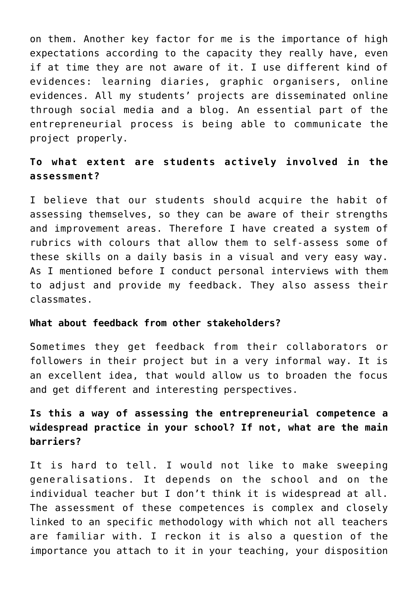on them. Another key factor for me is the importance of high expectations according to the capacity they really have, even if at time they are not aware of it. I use different kind of evidences: learning diaries, graphic organisers, online evidences. All my students' projects are disseminated online through social media and a blog. An essential part of the entrepreneurial process is being able to communicate the project properly.

## **To what extent are students actively involved in the assessment?**

I believe that our students should acquire the habit of assessing themselves, so they can be aware of their strengths and improvement areas. Therefore I have created a system of rubrics with colours that allow them to self-assess some of these skills on a daily basis in a visual and very easy way. As I mentioned before I conduct personal interviews with them to adjust and provide my feedback. They also assess their classmates.

#### **What about feedback from other stakeholders?**

Sometimes they get feedback from their collaborators or followers in their project but in a very informal way. It is an excellent idea, that would allow us to broaden the focus and get different and interesting perspectives.

# **Is this a way of assessing the entrepreneurial competence a widespread practice in your school? If not, what are the main barriers?**

It is hard to tell. I would not like to make sweeping generalisations. It depends on the school and on the individual teacher but I don't think it is widespread at all. The assessment of these competences is complex and closely linked to an specific methodology with which not all teachers are familiar with. I reckon it is also a question of the importance you attach to it in your teaching, your disposition